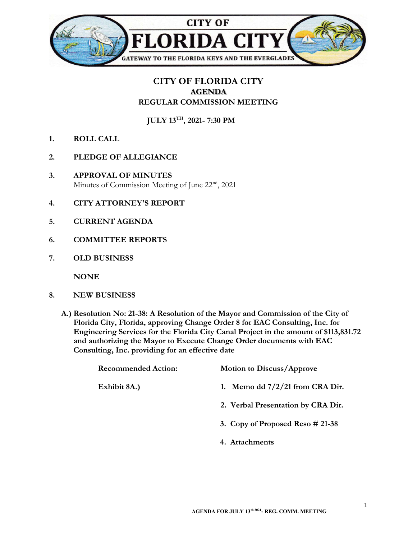

## CITY OF FLORIDA CITY AGENDA REGULAR COMMISSION MEETING

JULY 13TH, 2021- 7:30 PM

- 1. ROLL CALL
- 2. PLEDGE OF ALLEGIANCE
- 3. APPROVAL OF MINUTES Minutes of Commission Meeting of June 22<sup>nd</sup>, 2021
- 4. CITY ATTORNEY'S REPORT
- 5. CURRENT AGENDA
- 6. COMMITTEE REPORTS
- 7. OLD BUSINESS

**NONE** 

- 8. NEW BUSINESS
	- A.) Resolution No: 21-38: A Resolution of the Mayor and Commission of the City of Florida City, Florida, approving Change Order 8 for EAC Consulting, Inc. for Engineering Services for the Florida City Canal Project in the amount of \$113,831.72 and authorizing the Mayor to Execute Change Order documents with EAC Consulting, Inc. providing for an effective date

| <b>Recommended Action:</b> | <b>Motion to Discuss/Approve</b>   |
|----------------------------|------------------------------------|
| Exhibit 8A.)               | 1. Memo dd $7/2/21$ from CRA Dir.  |
|                            | 2. Verbal Presentation by CRA Dir. |
|                            | 3. Copy of Proposed Reso $#21-38$  |
|                            | 4. Attachments                     |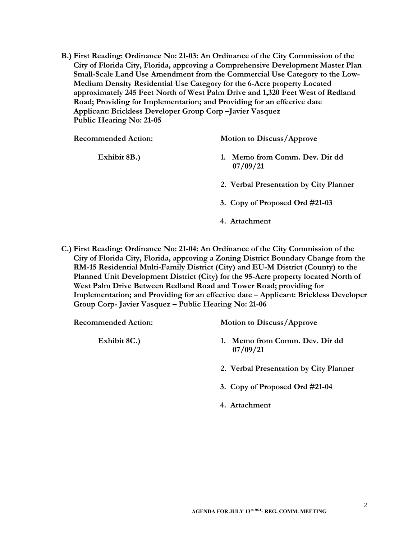B.) First Reading: Ordinance No: 21-03: An Ordinance of the City Commission of the City of Florida City, Florida, approving a Comprehensive Development Master Plan Small-Scale Land Use Amendment from the Commercial Use Category to the Low-Medium Density Residential Use Category for the 6-Acre property Located approximately 245 Feet North of West Palm Drive and 1,320 Feet West of Redland Road; Providing for Implementation; and Providing for an effective date Applicant: Brickless Developer Group Corp –Javier Vasquez Public Hearing No: 21-05

| <b>Recommended Action:</b> | <b>Motion to Discuss/Approve</b>                          |
|----------------------------|-----------------------------------------------------------|
| Exhibit 8B.)               | Memo from Comm. Dev. Dir dd<br>$\mathbf{1}$ .<br>07/09/21 |
|                            | 2. Verbal Presentation by City Planner                    |
|                            | 3. Copy of Proposed Ord #21-03                            |
|                            | 4. Attachment                                             |

C.) First Reading: Ordinance No: 21-04: An Ordinance of the City Commission of the City of Florida City, Florida, approving a Zoning District Boundary Change from the RM-15 Residential Multi-Family District (City) and EU-M District (County) to the Planned Unit Development District (City) for the 95-Acre property located North of West Palm Drive Between Redland Road and Tower Road; providing for Implementation; and Providing for an effective date – Applicant: Brickless Developer Group Corp- Javier Vasquez – Public Hearing No: 21-06

| <b>Recommended Action:</b> | <b>Motion to Discuss/Approve</b>              |
|----------------------------|-----------------------------------------------|
| Exhibit 8C.)               | Memo from Comm. Dev. Dir dd<br>1.<br>07/09/21 |
|                            | 2. Verbal Presentation by City Planner        |
|                            | 3. Copy of Proposed Ord #21-04                |
|                            | 4. Attachment                                 |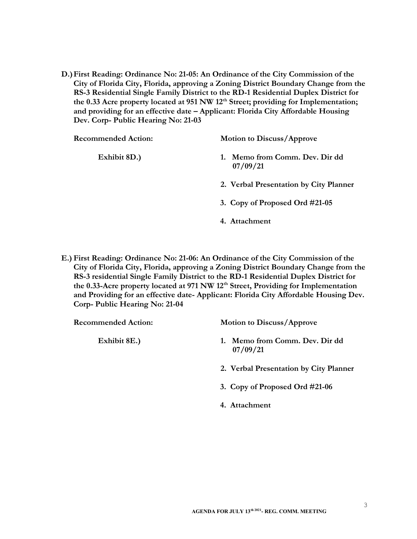D.)First Reading: Ordinance No: 21-05: An Ordinance of the City Commission of the City of Florida City, Florida, approving a Zoning District Boundary Change from the RS-3 Residential Single Family District to the RD-1 Residential Duplex District for the 0.33 Acre property located at 951 NW 12<sup>th</sup> Street; providing for Implementation; and providing for an effective date – Applicant: Florida City Affordable Housing Dev. Corp- Public Hearing No: 21-03

| <b>Recommended Action:</b> | <b>Motion to Discuss/Approve</b>        |
|----------------------------|-----------------------------------------|
| Exhibit 8D.)               | Memo from Comm. Dev. Dir dd<br>07/09/21 |
|                            | 2. Verbal Presentation by City Planner  |
|                            | 3. Copy of Proposed Ord #21-05          |
|                            | 4. Attachment                           |

E.) First Reading: Ordinance No: 21-06: An Ordinance of the City Commission of the City of Florida City, Florida, approving a Zoning District Boundary Change from the RS-3 residential Single Family District to the RD-1 Residential Duplex District for the 0.33-Acre property located at 971 NW 12<sup>th</sup> Street, Providing for Implementation and Providing for an effective date- Applicant: Florida City Affordable Housing Dev. Corp- Public Hearing No: 21-04

| <b>Recommended Action:</b> | <b>Motion to Discuss/Approve</b>        |
|----------------------------|-----------------------------------------|
| Exhibit 8E.)               | Memo from Comm. Dev. Dir dd<br>07/09/21 |
|                            | 2. Verbal Presentation by City Planner  |
|                            | 3. Copy of Proposed Ord #21-06          |
|                            | 4. Attachment                           |